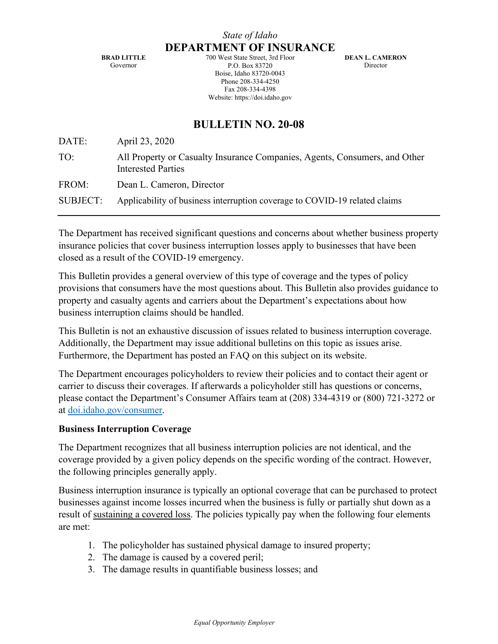**BRAD LITTLE** Governor

700 West State Street, 3rd Floor P.O. Box 83720 Boise, Idaho 83720-0043 Phone 208-334-4250 Fax 208-334-4398 Website: https://doi.idaho.gov

**DEAN L. CAMERON** Director

# **BULLETIN NO. 20-08**

| DATE:           | April 23, 2020                                                                                          |
|-----------------|---------------------------------------------------------------------------------------------------------|
| TO:             | All Property or Casualty Insurance Companies, Agents, Consumers, and Other<br><b>Interested Parties</b> |
| FROM:           | Dean L. Cameron, Director                                                                               |
| <b>SUBJECT:</b> | Applicability of business interruption coverage to COVID-19 related claims                              |
|                 |                                                                                                         |

The Department has received significant questions and concerns about whether business property insurance policies that cover business interruption losses apply to businesses that have been closed as a result of the COVID-19 emergency.

This Bulletin provides a general overview of this type of coverage and the types of policy provisions that consumers have the most questions about. This Bulletin also provides guidance to property and casualty agents and carriers about the Department's expectations about how business interruption claims should be handled.

This Bulletin is not an exhaustive discussion of issues related to business interruption coverage. Additionally, the Department may issue additional bulletins on this topic as issues arise. Furthermore, the Department has posted an FAQ on this subject on its website.

The Department encourages policyholders to review their policies and to contact their agent or carrier to discuss their coverages. If afterwards a policyholder still has questions or concerns, please contact the Department's Consumer Affairs team at (208) 334-4319 or (800) 721-3272 or at [doi.idaho.gov/consumer.](https://doi.idaho.gov/consumer/)

#### **Business Interruption Coverage**

The Department recognizes that all business interruption policies are not identical, and the coverage provided by a given policy depends on the specific wording of the contract. However, the following principles generally apply.

Business interruption insurance is typically an optional coverage that can be purchased to protect businesses against income losses incurred when the business is fully or partially shut down as a result of sustaining a covered loss. The policies typically pay when the following four elements are met:

- 1. The policyholder has sustained physical damage to insured property;
- 2. The damage is caused by a covered peril;
- 3. The damage results in quantifiable business losses; and